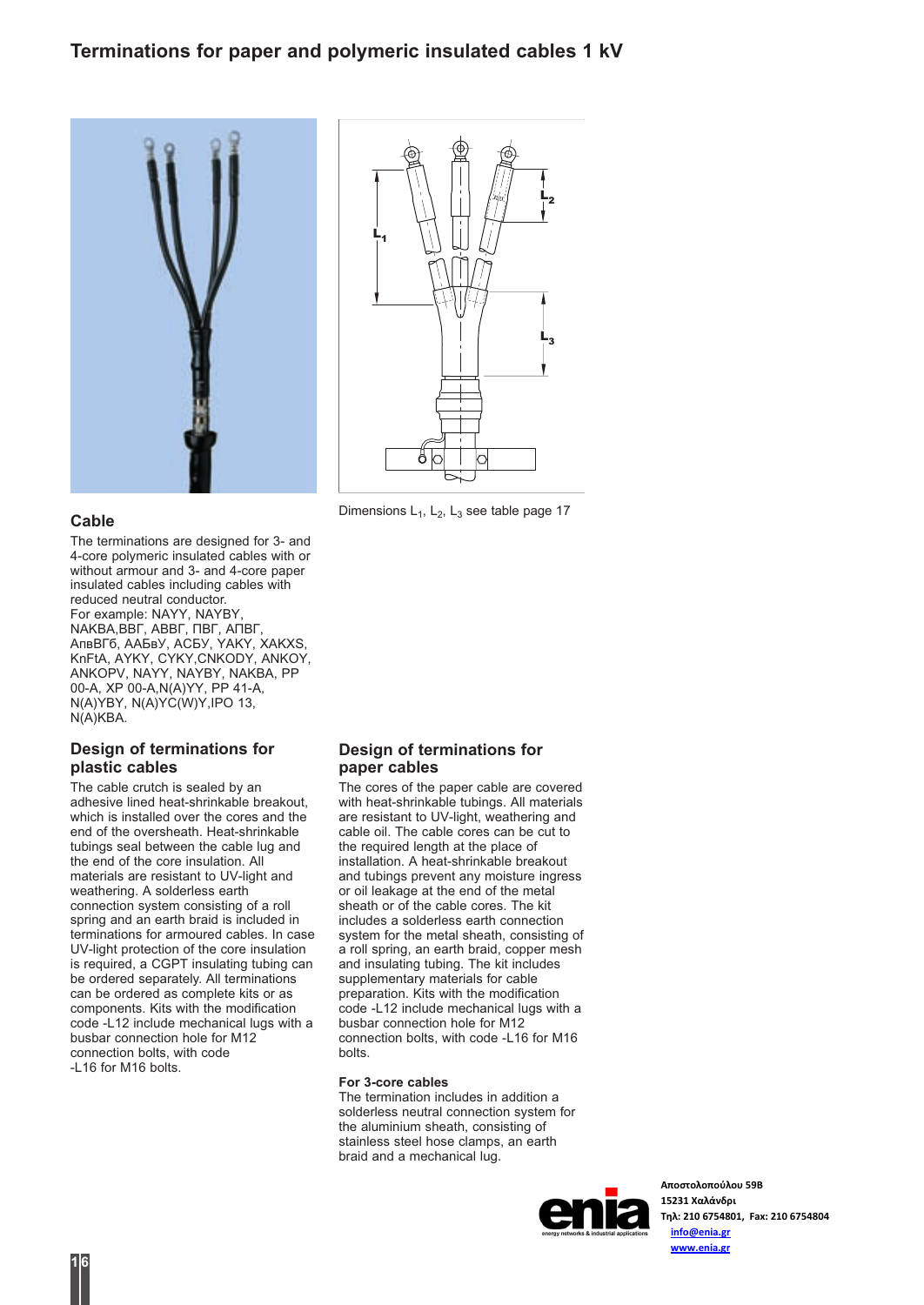# Terminations for paper and polymeric insulated cables 1 kV



### Cable

The terminations are designed for 3- and 4-core polymeric insulated cables with or without armour and 3- and 4-core paper insulated cables including cables with reduced neutral conductor. For example: NAYY, NAYBY, NAKBA,ВВГ, АВВГ, ПВГ, АПВГ, АпвВГб, ААБвУ, АСБУ, YAKY, XAKXS, KnFtA, AYKY, CYKY,CNKODY, ANKOY, ANKOPV, NAYY, NAYBY, NAKBA, PP 00-A, XP 00-A,N(A)YY, PP 41-A, N(A)YBY, N(A)YC(W)Y,IPO 13, N(A)KBA.

## Design of terminations for plastic cables

The cable crutch is sealed by an adhesive lined heat-shrinkable breakout, which is installed over the cores and the end of the oversheath. Heat-shrinkable tubings seal between the cable lug and the end of the core insulation. All materials are resistant to UV-light and weathering. A solderless earth connection system consisting of a roll spring and an earth braid is included in terminations for armoured cables. In case UV-light protection of the core insulation is required, a CGPT insulating tubing can be ordered separately. All terminations can be ordered as complete kits or as components. Kits with the modification code -L12 include mechanical lugs with a busbar connection hole for M12 connection bolts, with code -L16 for M16 bolts.



Dimensions  $L_1$ ,  $L_2$ ,  $L_3$  see table page 17

### Design of terminations for paper cables

The cores of the paper cable are covered with heat-shrinkable tubings. All materials are resistant to UV-light, weathering and cable oil. The cable cores can be cut to the required length at the place of installation. A heat-shrinkable breakout and tubings prevent any moisture ingress or oil leakage at the end of the metal sheath or of the cable cores. The kit includes a solderless earth connection system for the metal sheath, consisting of a roll spring, an earth braid, copper mesh and insulating tubing. The kit includes supplementary materials for cable preparation. Kits with the modification code -L12 include mechanical lugs with a busbar connection hole for M12 connection bolts, with code -L16 for M16 bolts.

#### For 3-core cables

The termination includes in addition a solderless neutral connection system for the aluminium sheath, consisting of stainless steel hose clamps, an earth braid and a mechanical lug.



**Αποστολοπούλου 59Β 15231 Χαλάνδρι Τηλ: 210 6754801, Fax: 210 6754804 info@enia.gr www.enia.gr**